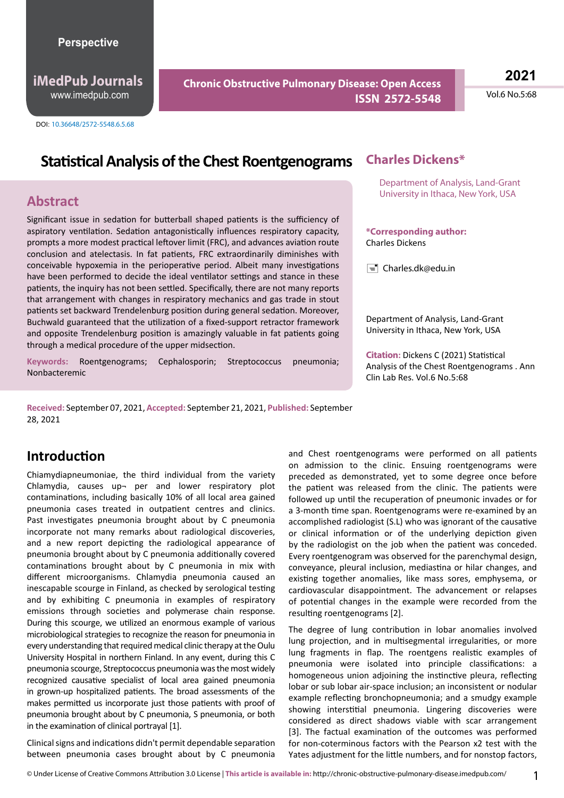#### **Perspective**

**iMedPub Journals** www.imedpub.com

DOI: 10.36648/2572-5548.6.5.68

**Chronic Obstructive Pulmonary Disease: Open Access ISSN 2572-5548** **2021**

Vol.6 No.5:68

# **Statistical Analysis of the Chest Roentgenograms**

### **Abstract**

Significant issue in sedation for butterball shaped patients is the sufficiency of aspiratory ventilation. Sedation antagonistically influences respiratory capacity, prompts a more modest practical leftover limit (FRC), and advances aviation route conclusion and atelectasis. In fat patients, FRC extraordinarily diminishes with conceivable hypoxemia in the perioperative period. Albeit many investigations have been performed to decide the ideal ventilator settings and stance in these patients, the inquiry has not been settled. Specifically, there are not many reports that arrangement with changes in respiratory mechanics and gas trade in stout patients set backward Trendelenburg position during general sedation. Moreover, Buchwald guaranteed that the utilization of a fixed-support retractor framework and opposite Trendelenburg position is amazingly valuable in fat patients going through a medical procedure of the upper midsection.

**Keywords:** Roentgenograms; Cephalosporin; Streptococcus pneumonia; Nonbacteremic

**Received:** September 07, 2021, **Accepted:** September 21, 2021, **Published:** September 28, 2021

## **Introduction**

Chiamydiapneumoniae, the third individual from the variety Chlamydia, causes up¬ per and lower respiratory plot contaminations, including basically 10% of all local area gained pneumonia cases treated in outpatient centres and clinics. Past investigates pneumonia brought about by C pneumonia incorporate not many remarks about radiological discoveries, and a new report depicting the radiological appearance of pneumonia brought about by C pneumonia additionally covered contaminations brought about by C pneumonia in mix with different microorganisms. Chlamydia pneumonia caused an inescapable scourge in Finland, as checked by serological testing and by exhibiting C pneumonia in examples of respiratory emissions through societies and polymerase chain response. During this scourge, we utilized an enormous example of various microbiological strategies to recognize the reason for pneumonia in every understanding that required medical clinic therapy at the Oulu University Hospital in northern Finland. In any event, during this C pneumonia scourge, Streptococcus pneumonia was the most widely recognized causative specialist of local area gained pneumonia in grown-up hospitalized patients. The broad assessments of the makes permitted us incorporate just those patients with proof of pneumonia brought about by C pneumonia, S pneumonia, or both in the examination of clinical portrayal [1].

Clinical signs and indications didn't permit dependable separation between pneumonia cases brought about by C pneumonia

#### **Charles Dickens\***

Department of Analysis, Land-Grant University in Ithaca, New York, USA

#### **\*Corresponding author:** Charles Dickens

 $\equiv$  Charles.dk@edu.in

Department of Analysis, Land-Grant University in Ithaca, New York, USA

**Citation:** Dickens C (2021) Statistical Analysis of the Chest Roentgenograms . Ann Clin Lab Res. Vol.6 No.5:68

and Chest roentgenograms were performed on all patients on admission to the clinic. Ensuing roentgenograms were preceded as demonstrated, yet to some degree once before the patient was released from the clinic. The patients were followed up until the recuperation of pneumonic invades or for a 3-month time span. Roentgenograms were re-examined by an accomplished radiologist (S.L) who was ignorant of the causative or clinical information or of the underlying depiction given by the radiologist on the job when the patient was conceded. Every roentgenogram was observed for the parenchymal design, conveyance, pleural inclusion, mediastina or hilar changes, and existing together anomalies, like mass sores, emphysema, or cardiovascular disappointment. The advancement or relapses of potential changes in the example were recorded from the resulting roentgenograms [2].

The degree of lung contribution in lobar anomalies involved lung projection, and in multisegmental irregularities, or more lung fragments in flap. The roentgens realistic examples of pneumonia were isolated into principle classifications: a homogeneous union adjoining the instinctive pleura, reflecting lobar or sub lobar air-space inclusion; an inconsistent or nodular example reflecting bronchopneumonia; and a smudgy example showing interstitial pneumonia. Lingering discoveries were considered as direct shadows viable with scar arrangement [3]. The factual examination of the outcomes was performed for non-coterminous factors with the Pearson x2 test with the Yates adjustment for the little numbers, and for nonstop factors,